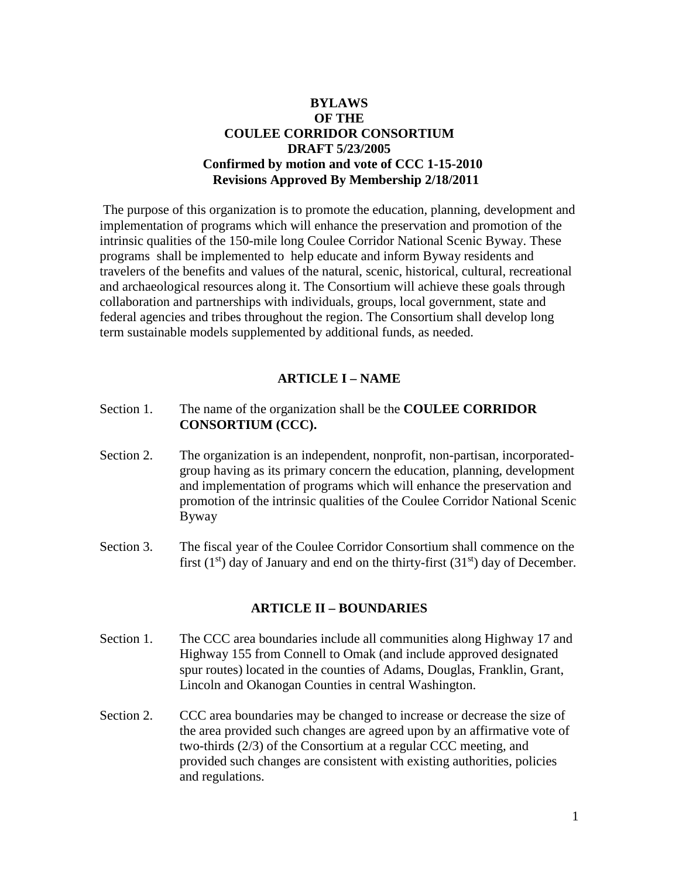# **BYLAWS OF THE COULEE CORRIDOR CONSORTIUM DRAFT 5/23/2005 Confirmed by motion and vote of CCC 1-15-2010 Revisions Approved By Membership 2/18/2011**

The purpose of this organization is to promote the education, planning, development and implementation of programs which will enhance the preservation and promotion of the intrinsic qualities of the 150-mile long Coulee Corridor National Scenic Byway. These programs shall be implemented to help educate and inform Byway residents and travelers of the benefits and values of the natural, scenic, historical, cultural, recreational and archaeological resources along it. The Consortium will achieve these goals through collaboration and partnerships with individuals, groups, local government, state and federal agencies and tribes throughout the region. The Consortium shall develop long term sustainable models supplemented by additional funds, as needed.

# **ARTICLE I – NAME**

- Section 1. The name of the organization shall be the **COULEE CORRIDOR CONSORTIUM (CCC).**
- Section 2. The organization is an independent, nonprofit, non-partisan, incorporatedgroup having as its primary concern the education, planning, development and implementation of programs which will enhance the preservation and promotion of the intrinsic qualities of the Coulee Corridor National Scenic Byway
- Section 3.The fiscal year of the Coulee Corridor Consortium shall commence on the first  $(1<sup>st</sup>)$  day of January and end on the thirty-first  $(31<sup>st</sup>)$  day of December.

#### **ARTICLE II – BOUNDARIES**

- Section 1. The CCC area boundaries include all communities along Highway 17 and Highway 155 from Connell to Omak (and include approved designated spur routes) located in the counties of Adams, Douglas, Franklin, Grant, Lincoln and Okanogan Counties in central Washington.
- Section 2. CCC area boundaries may be changed to increase or decrease the size of the area provided such changes are agreed upon by an affirmative vote of two-thirds (2/3) of the Consortium at a regular CCC meeting, and provided such changes are consistent with existing authorities, policies and regulations.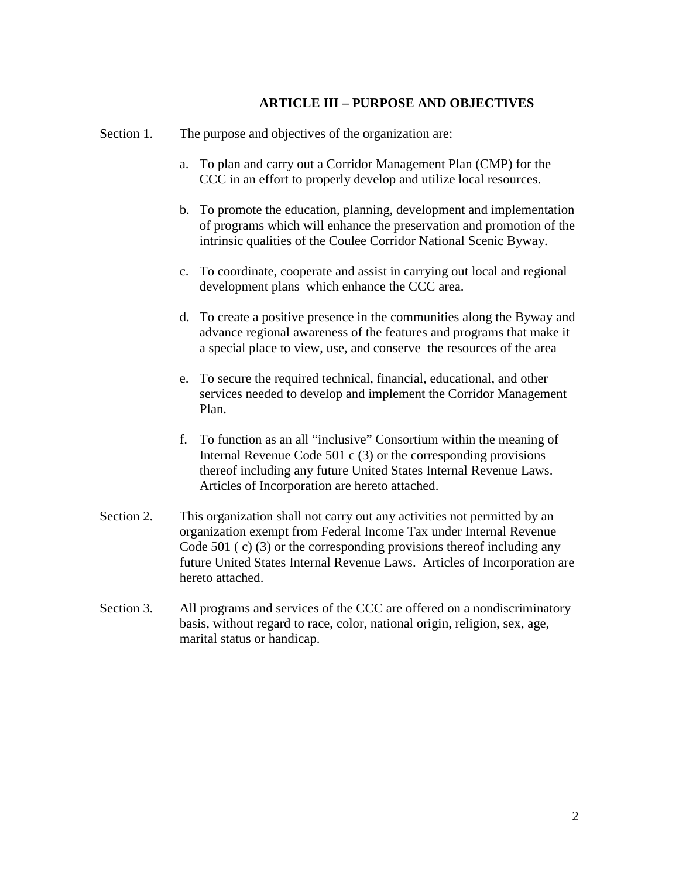## **ARTICLE III – PURPOSE AND OBJECTIVES**

Section 1. The purpose and objectives of the organization are:

- a. To plan and carry out a Corridor Management Plan (CMP) for the CCC in an effort to properly develop and utilize local resources.
- b. To promote the education, planning, development and implementation of programs which will enhance the preservation and promotion of the intrinsic qualities of the Coulee Corridor National Scenic Byway.
- c. To coordinate, cooperate and assist in carrying out local and regional development plans which enhance the CCC area.
- d. To create a positive presence in the communities along the Byway and advance regional awareness of the features and programs that make it a special place to view, use, and conserve the resources of the area
- e. To secure the required technical, financial, educational, and other services needed to develop and implement the Corridor Management Plan.
- f. To function as an all "inclusive" Consortium within the meaning of Internal Revenue Code 501 c (3) or the corresponding provisions thereof including any future United States Internal Revenue Laws. Articles of Incorporation are hereto attached.
- Section 2. This organization shall not carry out any activities not permitted by an organization exempt from Federal Income Tax under Internal Revenue Code 501 ( c) (3) or the corresponding provisions thereof including any future United States Internal Revenue Laws. Articles of Incorporation are hereto attached.
- Section 3. All programs and services of the CCC are offered on a nondiscriminatory basis, without regard to race, color, national origin, religion, sex, age, marital status or handicap.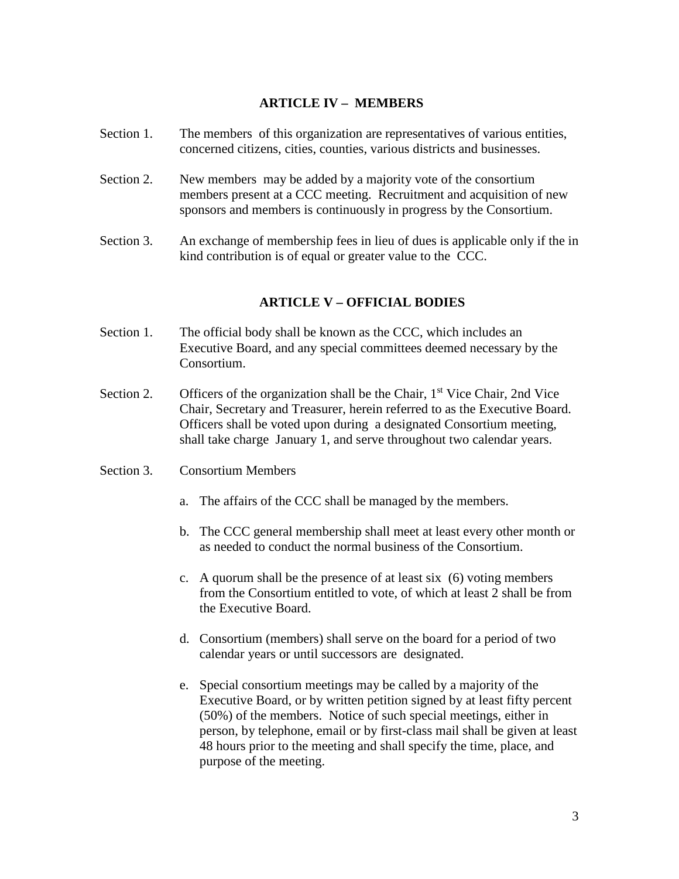# **ARTICLE IV – MEMBERS**

- Section 1. The members of this organization are representatives of various entities, concerned citizens, cities, counties, various districts and businesses.
- Section 2. New members may be added by a majority vote of the consortium members present at a CCC meeting. Recruitment and acquisition of new sponsors and members is continuously in progress by the Consortium.
- Section 3. An exchange of membership fees in lieu of dues is applicable only if the in kind contribution is of equal or greater value to the CCC.

# **ARTICLE V – OFFICIAL BODIES**

- Section 1. The official body shall be known as the CCC, which includes an Executive Board, and any special committees deemed necessary by the Consortium.
- Section 2. Officers of the organization shall be the Chair,  $1<sup>st</sup>$  Vice Chair, 2nd Vice Chair, Secretary and Treasurer, herein referred to as the Executive Board. Officers shall be voted upon during a designated Consortium meeting, shall take charge January 1, and serve throughout two calendar years.
- Section 3. Consortium Members
	- a. The affairs of the CCC shall be managed by the members.
	- b. The CCC general membership shall meet at least every other month or as needed to conduct the normal business of the Consortium.
	- c. A quorum shall be the presence of at least six (6) voting members from the Consortium entitled to vote, of which at least 2 shall be from the Executive Board.
	- d. Consortium (members) shall serve on the board for a period of two calendar years or until successors are designated.
	- e. Special consortium meetings may be called by a majority of the Executive Board, or by written petition signed by at least fifty percent (50%) of the members. Notice of such special meetings, either in person, by telephone, email or by first-class mail shall be given at least 48 hours prior to the meeting and shall specify the time, place, and purpose of the meeting.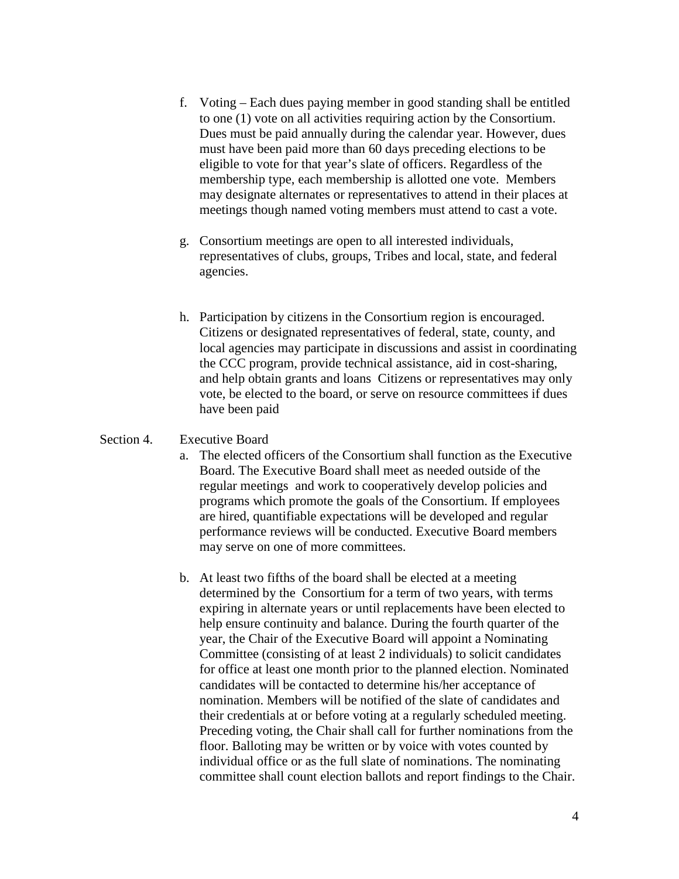- f. Voting Each dues paying member in good standing shall be entitled to one (1) vote on all activities requiring action by the Consortium. Dues must be paid annually during the calendar year. However, dues must have been paid more than 60 days preceding elections to be eligible to vote for that year's slate of officers. Regardless of the membership type, each membership is allotted one vote. Members may designate alternates or representatives to attend in their places at meetings though named voting members must attend to cast a vote.
- g. Consortium meetings are open to all interested individuals, representatives of clubs, groups, Tribes and local, state, and federal agencies.
- h. Participation by citizens in the Consortium region is encouraged. Citizens or designated representatives of federal, state, county, and local agencies may participate in discussions and assist in coordinating the CCC program, provide technical assistance, aid in cost-sharing, and help obtain grants and loans Citizens or representatives may only vote, be elected to the board, or serve on resource committees if dues have been paid

#### Section 4. Executive Board

- a. The elected officers of the Consortium shall function as the Executive Board. The Executive Board shall meet as needed outside of the regular meetings and work to cooperatively develop policies and programs which promote the goals of the Consortium. If employees are hired, quantifiable expectations will be developed and regular performance reviews will be conducted. Executive Board members may serve on one of more committees.
- b. At least two fifths of the board shall be elected at a meeting determined by the Consortium for a term of two years, with terms expiring in alternate years or until replacements have been elected to help ensure continuity and balance. During the fourth quarter of the year, the Chair of the Executive Board will appoint a Nominating Committee (consisting of at least 2 individuals) to solicit candidates for office at least one month prior to the planned election. Nominated candidates will be contacted to determine his/her acceptance of nomination. Members will be notified of the slate of candidates and their credentials at or before voting at a regularly scheduled meeting. Preceding voting, the Chair shall call for further nominations from the floor. Balloting may be written or by voice with votes counted by individual office or as the full slate of nominations. The nominating committee shall count election ballots and report findings to the Chair.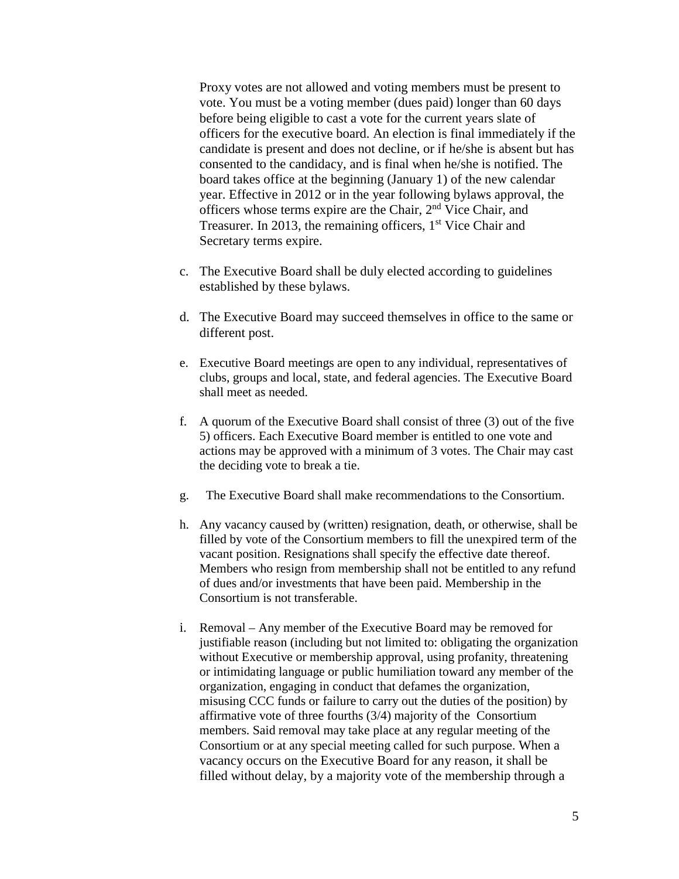Proxy votes are not allowed and voting members must be present to vote. You must be a voting member (dues paid) longer than 60 days before being eligible to cast a vote for the current years slate of officers for the executive board. An election is final immediately if the candidate is present and does not decline, or if he/she is absent but has consented to the candidacy, and is final when he/she is notified. The board takes office at the beginning (January 1) of the new calendar year. Effective in 2012 or in the year following bylaws approval, the officers whose terms expire are the Chair, 2nd Vice Chair, and Treasurer. In 2013, the remaining officers,  $1<sup>st</sup>$  Vice Chair and Secretary terms expire.

- c. The Executive Board shall be duly elected according to guidelines established by these bylaws.
- d. The Executive Board may succeed themselves in office to the same or different post.
- e. Executive Board meetings are open to any individual, representatives of clubs, groups and local, state, and federal agencies. The Executive Board shall meet as needed.
- f. A quorum of the Executive Board shall consist of three (3) out of the five 5) officers. Each Executive Board member is entitled to one vote and actions may be approved with a minimum of 3 votes. The Chair may cast the deciding vote to break a tie.
- g. The Executive Board shall make recommendations to the Consortium.
- h. Any vacancy caused by (written) resignation, death, or otherwise, shall be filled by vote of the Consortium members to fill the unexpired term of the vacant position. Resignations shall specify the effective date thereof. Members who resign from membership shall not be entitled to any refund of dues and/or investments that have been paid. Membership in the Consortium is not transferable.
- i. Removal Any member of the Executive Board may be removed for justifiable reason (including but not limited to: obligating the organization without Executive or membership approval, using profanity, threatening or intimidating language or public humiliation toward any member of the organization, engaging in conduct that defames the organization, misusing CCC funds or failure to carry out the duties of the position) by affirmative vote of three fourths (3/4) majority of the Consortium members. Said removal may take place at any regular meeting of the Consortium or at any special meeting called for such purpose. When a vacancy occurs on the Executive Board for any reason, it shall be filled without delay, by a majority vote of the membership through a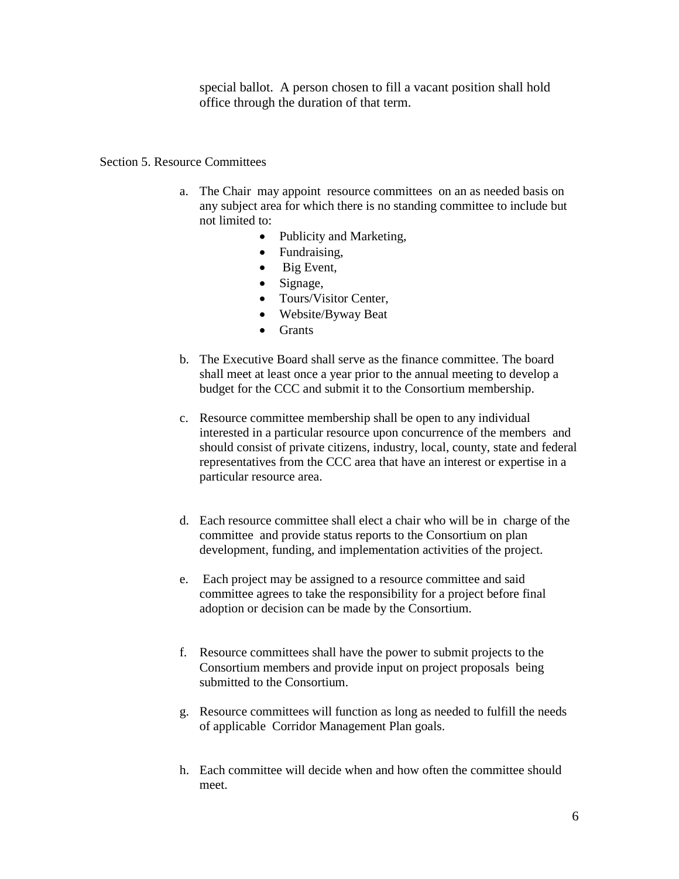special ballot. A person chosen to fill a vacant position shall hold office through the duration of that term.

#### Section 5. Resource Committees

- a. The Chair may appoint resource committees on an as needed basis on any subject area for which there is no standing committee to include but not limited to:
	- Publicity and Marketing,
	- Fundraising,
	- Big Event,
	- Signage,
	- Tours/Visitor Center,
	- Website/Byway Beat
	- Grants
- b. The Executive Board shall serve as the finance committee. The board shall meet at least once a year prior to the annual meeting to develop a budget for the CCC and submit it to the Consortium membership.
- c. Resource committee membership shall be open to any individual interested in a particular resource upon concurrence of the members and should consist of private citizens, industry, local, county, state and federal representatives from the CCC area that have an interest or expertise in a particular resource area.
- d. Each resource committee shall elect a chair who will be in charge of the committee and provide status reports to the Consortium on plan development, funding, and implementation activities of the project.
- e. Each project may be assigned to a resource committee and said committee agrees to take the responsibility for a project before final adoption or decision can be made by the Consortium.
- f. Resource committees shall have the power to submit projects to the Consortium members and provide input on project proposals being submitted to the Consortium.
- g. Resource committees will function as long as needed to fulfill the needs of applicable Corridor Management Plan goals.
- h. Each committee will decide when and how often the committee should meet.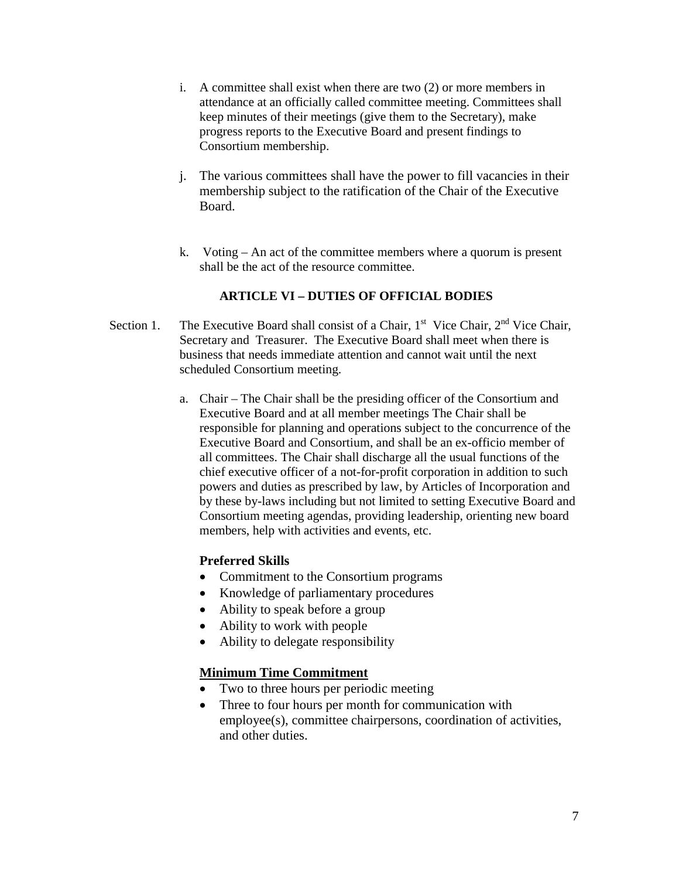- i. A committee shall exist when there are two (2) or more members in attendance at an officially called committee meeting. Committees shall keep minutes of their meetings (give them to the Secretary), make progress reports to the Executive Board and present findings to Consortium membership.
- j. The various committees shall have the power to fill vacancies in their membership subject to the ratification of the Chair of the Executive Board.
- k. Voting An act of the committee members where a quorum is present shall be the act of the resource committee.

# **ARTICLE VI – DUTIES OF OFFICIAL BODIES**

- Section 1. The Executive Board shall consist of a Chair,  $1<sup>st</sup>$  Vice Chair,  $2<sup>nd</sup>$  Vice Chair, Secretary and Treasurer. The Executive Board shall meet when there is business that needs immediate attention and cannot wait until the next scheduled Consortium meeting.
	- a. Chair The Chair shall be the presiding officer of the Consortium and Executive Board and at all member meetings The Chair shall be responsible for planning and operations subject to the concurrence of the Executive Board and Consortium, and shall be an ex-officio member of all committees. The Chair shall discharge all the usual functions of the chief executive officer of a not-for-profit corporation in addition to such powers and duties as prescribed by law, by Articles of Incorporation and by these by-laws including but not limited to setting Executive Board and Consortium meeting agendas, providing leadership, orienting new board members, help with activities and events, etc.

# **Preferred Skills**

- Commitment to the Consortium programs
- Knowledge of parliamentary procedures
- Ability to speak before a group
- Ability to work with people
- Ability to delegate responsibility

# **Minimum Time Commitment**

- Two to three hours per periodic meeting
- Three to four hours per month for communication with employee(s), committee chairpersons, coordination of activities, and other duties.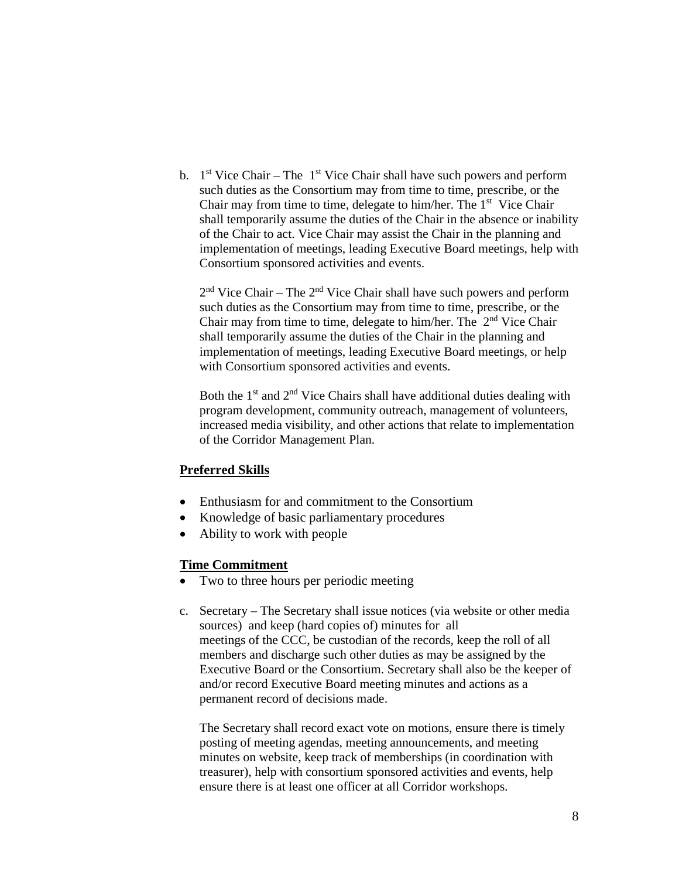b.  $1<sup>st</sup>$  Vice Chair – The  $1<sup>st</sup>$  Vice Chair shall have such powers and perform such duties as the Consortium may from time to time, prescribe, or the Chair may from time to time, delegate to him/her. The  $1<sup>st</sup>$  Vice Chair shall temporarily assume the duties of the Chair in the absence or inability of the Chair to act. Vice Chair may assist the Chair in the planning and implementation of meetings, leading Executive Board meetings, help with Consortium sponsored activities and events.

 $2<sup>nd</sup>$  Vice Chair – The  $2<sup>nd</sup>$  Vice Chair shall have such powers and perform such duties as the Consortium may from time to time, prescribe, or the Chair may from time to time, delegate to him/her. The  $2<sup>nd</sup>$  Vice Chair shall temporarily assume the duties of the Chair in the planning and implementation of meetings, leading Executive Board meetings, or help with Consortium sponsored activities and events.

Both the  $1<sup>st</sup>$  and  $2<sup>nd</sup>$  Vice Chairs shall have additional duties dealing with program development, community outreach, management of volunteers, increased media visibility, and other actions that relate to implementation of the Corridor Management Plan.

# **Preferred Skills**

- Enthusiasm for and commitment to the Consortium
- Knowledge of basic parliamentary procedures
- Ability to work with people

#### **Time Commitment**

- Two to three hours per periodic meeting
- c. Secretary The Secretary shall issue notices (via website or other media sources) and keep (hard copies of) minutes for all meetings of the CCC, be custodian of the records, keep the roll of all members and discharge such other duties as may be assigned by the Executive Board or the Consortium. Secretary shall also be the keeper of and/or record Executive Board meeting minutes and actions as a permanent record of decisions made.

The Secretary shall record exact vote on motions, ensure there is timely posting of meeting agendas, meeting announcements, and meeting minutes on website, keep track of memberships (in coordination with treasurer), help with consortium sponsored activities and events, help ensure there is at least one officer at all Corridor workshops.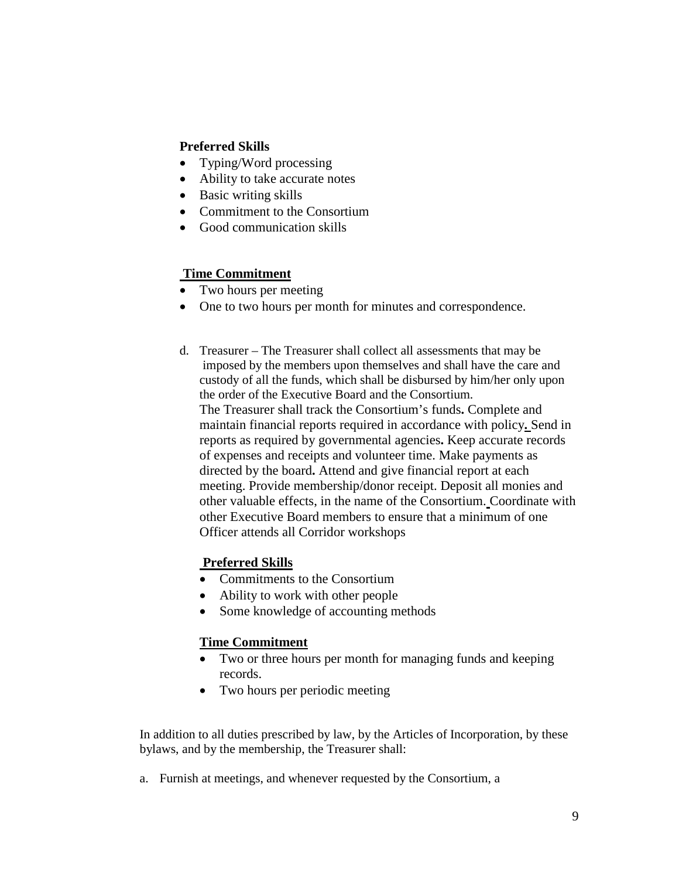# **Preferred Skills**

- Typing/Word processing
- Ability to take accurate notes
- Basic writing skills
- Commitment to the Consortium
- Good communication skills

# **Time Commitment**

- Two hours per meeting
- One to two hours per month for minutes and correspondence.
- d. Treasurer The Treasurer shall collect all assessments that may be imposed by the members upon themselves and shall have the care and custody of all the funds, which shall be disbursed by him/her only upon the order of the Executive Board and the Consortium. The Treasurer shall track the Consortium's funds**.** Complete and maintain financial reports required in accordance with policy**.** Send in reports as required by governmental agencies**.** Keep accurate records of expenses and receipts and volunteer time. Make payments as directed by the board**.** Attend and give financial report at each meeting. Provide membership/donor receipt. Deposit all monies and other valuable effects, in the name of the Consortium. Coordinate with other Executive Board members to ensure that a minimum of one Officer attends all Corridor workshops

# **Preferred Skills**

- Commitments to the Consortium
- Ability to work with other people
- Some knowledge of accounting methods

# **Time Commitment**

- Two or three hours per month for managing funds and keeping records.
- Two hours per periodic meeting

In addition to all duties prescribed by law, by the Articles of Incorporation, by these bylaws, and by the membership, the Treasurer shall:

a. Furnish at meetings, and whenever requested by the Consortium, a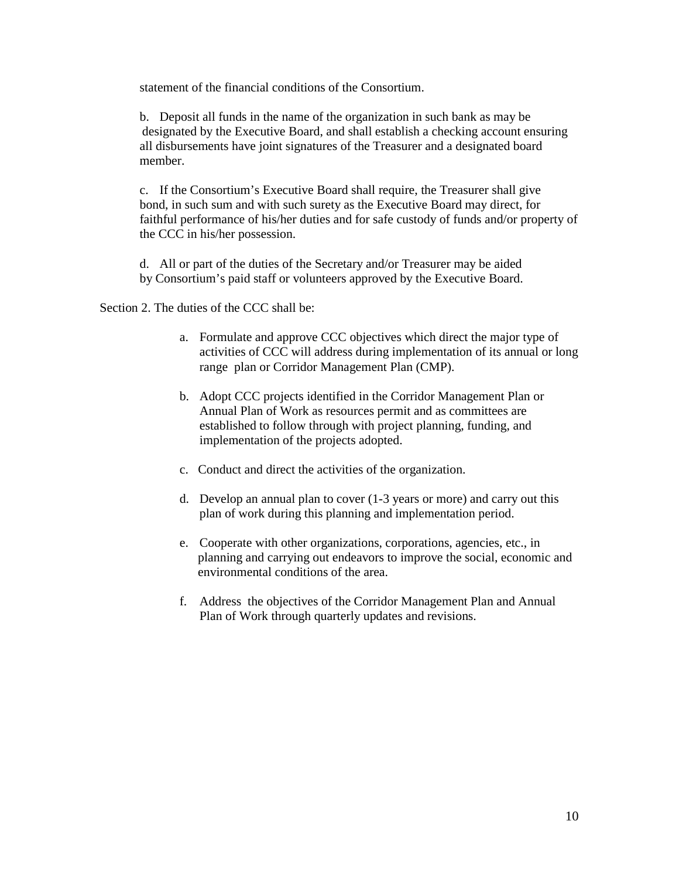statement of the financial conditions of the Consortium.

b. Deposit all funds in the name of the organization in such bank as may be designated by the Executive Board, and shall establish a checking account ensuring all disbursements have joint signatures of the Treasurer and a designated board member.

c. If the Consortium's Executive Board shall require, the Treasurer shall give bond, in such sum and with such surety as the Executive Board may direct, for faithful performance of his/her duties and for safe custody of funds and/or property of the CCC in his/her possession.

d. All or part of the duties of the Secretary and/or Treasurer may be aided by Consortium's paid staff or volunteers approved by the Executive Board.

Section 2. The duties of the CCC shall be:

- a. Formulate and approve CCC objectives which direct the major type of activities of CCC will address during implementation of its annual or long range plan or Corridor Management Plan (CMP).
- b. Adopt CCC projects identified in the Corridor Management Plan or Annual Plan of Work as resources permit and as committees are established to follow through with project planning, funding, and implementation of the projects adopted.
- c. Conduct and direct the activities of the organization.
- d. Develop an annual plan to cover (1-3 years or more) and carry out this plan of work during this planning and implementation period.
- e. Cooperate with other organizations, corporations, agencies, etc., in planning and carrying out endeavors to improve the social, economic and environmental conditions of the area.
- f. Address the objectives of the Corridor Management Plan and Annual Plan of Work through quarterly updates and revisions.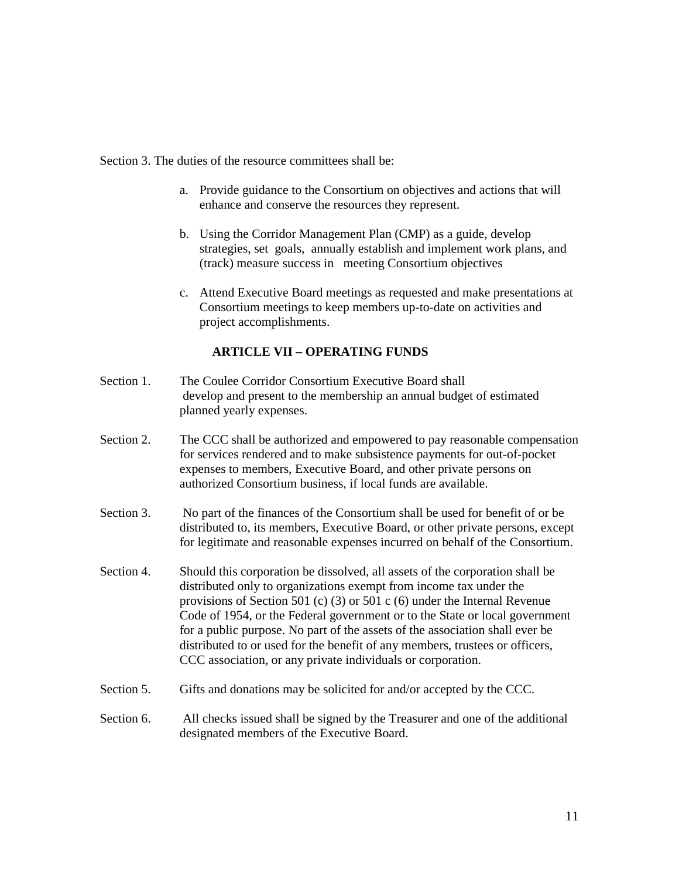Section 3. The duties of the resource committees shall be:

- a. Provide guidance to the Consortium on objectives and actions that will enhance and conserve the resources they represent.
- b. Using the Corridor Management Plan (CMP) as a guide, develop strategies, set goals, annually establish and implement work plans, and (track) measure success in meeting Consortium objectives
- c. Attend Executive Board meetings as requested and make presentations at Consortium meetings to keep members up-to-date on activities and project accomplishments.

### **ARTICLE VII – OPERATING FUNDS**

- Section 1. The Coulee Corridor Consortium Executive Board shall develop and present to the membership an annual budget of estimated planned yearly expenses.
- Section 2. The CCC shall be authorized and empowered to pay reasonable compensation for services rendered and to make subsistence payments for out-of-pocket expenses to members, Executive Board, and other private persons on authorized Consortium business, if local funds are available.
- Section 3. No part of the finances of the Consortium shall be used for benefit of or be distributed to, its members, Executive Board, or other private persons, except for legitimate and reasonable expenses incurred on behalf of the Consortium.
- Section 4. Should this corporation be dissolved, all assets of the corporation shall be distributed only to organizations exempt from income tax under the provisions of Section 501 (c) (3) or 501 c (6) under the Internal Revenue Code of 1954, or the Federal government or to the State or local government for a public purpose. No part of the assets of the association shall ever be distributed to or used for the benefit of any members, trustees or officers, CCC association, or any private individuals or corporation.
- Section 5. Gifts and donations may be solicited for and/or accepted by the CCC.
- Section 6. All checks issued shall be signed by the Treasurer and one of the additional designated members of the Executive Board.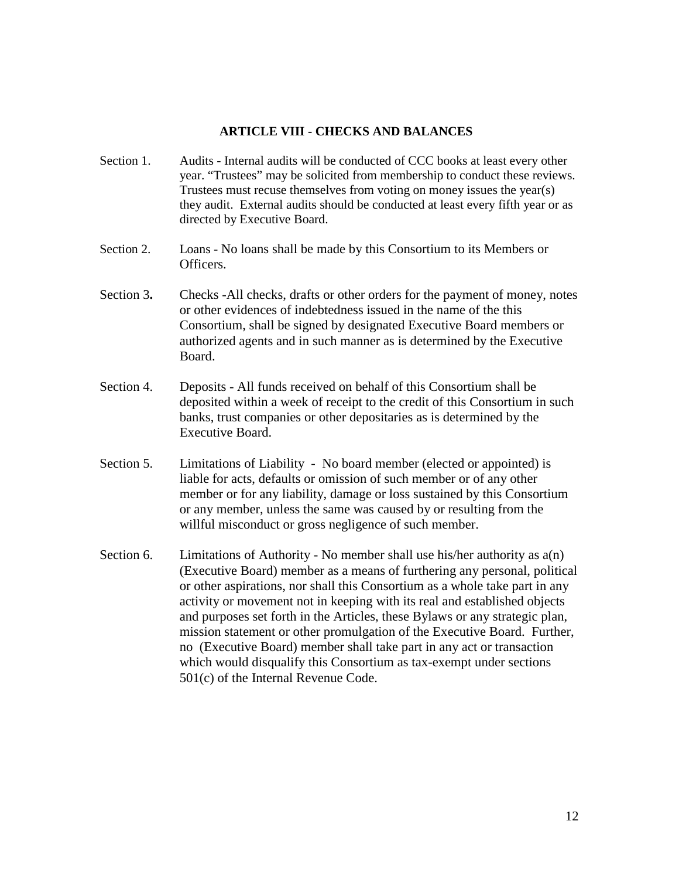#### **ARTICLE VIII - CHECKS AND BALANCES**

- Section 1. Audits Internal audits will be conducted of CCC books at least every other year. "Trustees" may be solicited from membership to conduct these reviews. Trustees must recuse themselves from voting on money issues the year(s) they audit. External audits should be conducted at least every fifth year or as directed by Executive Board.
- Section 2. Loans No loans shall be made by this Consortium to its Members or Officers.
- Section 3**.** Checks -All checks, drafts or other orders for the payment of money, notes or other evidences of indebtedness issued in the name of the this Consortium, shall be signed by designated Executive Board members or authorized agents and in such manner as is determined by the Executive Board.
- Section 4. Deposits All funds received on behalf of this Consortium shall be deposited within a week of receipt to the credit of this Consortium in such banks, trust companies or other depositaries as is determined by the Executive Board.
- Section 5. Limitations of Liability No board member (elected or appointed) is liable for acts, defaults or omission of such member or of any other member or for any liability, damage or loss sustained by this Consortium or any member, unless the same was caused by or resulting from the willful misconduct or gross negligence of such member.
- Section 6. Limitations of Authority No member shall use his/her authority as  $a(n)$ (Executive Board) member as a means of furthering any personal, political or other aspirations, nor shall this Consortium as a whole take part in any activity or movement not in keeping with its real and established objects and purposes set forth in the Articles, these Bylaws or any strategic plan, mission statement or other promulgation of the Executive Board. Further, no (Executive Board) member shall take part in any act or transaction which would disqualify this Consortium as tax-exempt under sections 501(c) of the Internal Revenue Code.